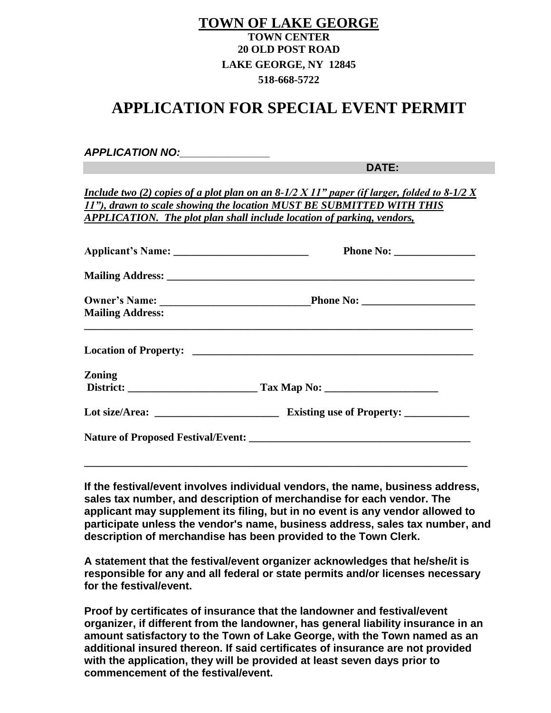## **TOWN OF LAKE GEORGE TOWN CENTER 20 OLD POST ROAD LAKE GEORGE, NY 12845 518-668-5722**

## **APPLICATION FOR SPECIAL EVENT PERMIT**

*APPLICATION NO:\_\_\_\_\_\_\_\_\_\_\_\_\_\_\_*

**DATE:** 

*Include two (2) copies of a plot plan on an 8-1/2 X 11" paper (if larger, folded to 8-1/2 X 11"), drawn to scale showing the location MUST BE SUBMITTED WITH THIS APPLICATION. The plot plan shall include location of parking, vendors,* 

| <b>Mailing Address:</b> |  |
|-------------------------|--|
|                         |  |
| <b>Zoning</b>           |  |
|                         |  |
|                         |  |
|                         |  |
|                         |  |

**If the festival/event involves individual vendors, the name, business address, sales tax number, and description of merchandise for each vendor. The applicant may supplement its filing, but in no event is any vendor allowed to participate unless the vendor's name, business address, sales tax number, and description of merchandise has been provided to the Town Clerk.**

**A statement that the festival/event organizer acknowledges that he/she/it is responsible for any and all federal or state permits and/or licenses necessary for the festival/event.**

**Proof by certificates of insurance that the landowner and festival/event organizer, if different from the landowner, has general liability insurance in an amount satisfactory to the Town of Lake George, with the Town named as an additional insured thereon. If said certificates of insurance are not provided with the application, they will be provided at least seven days prior to commencement of the festival/event.**